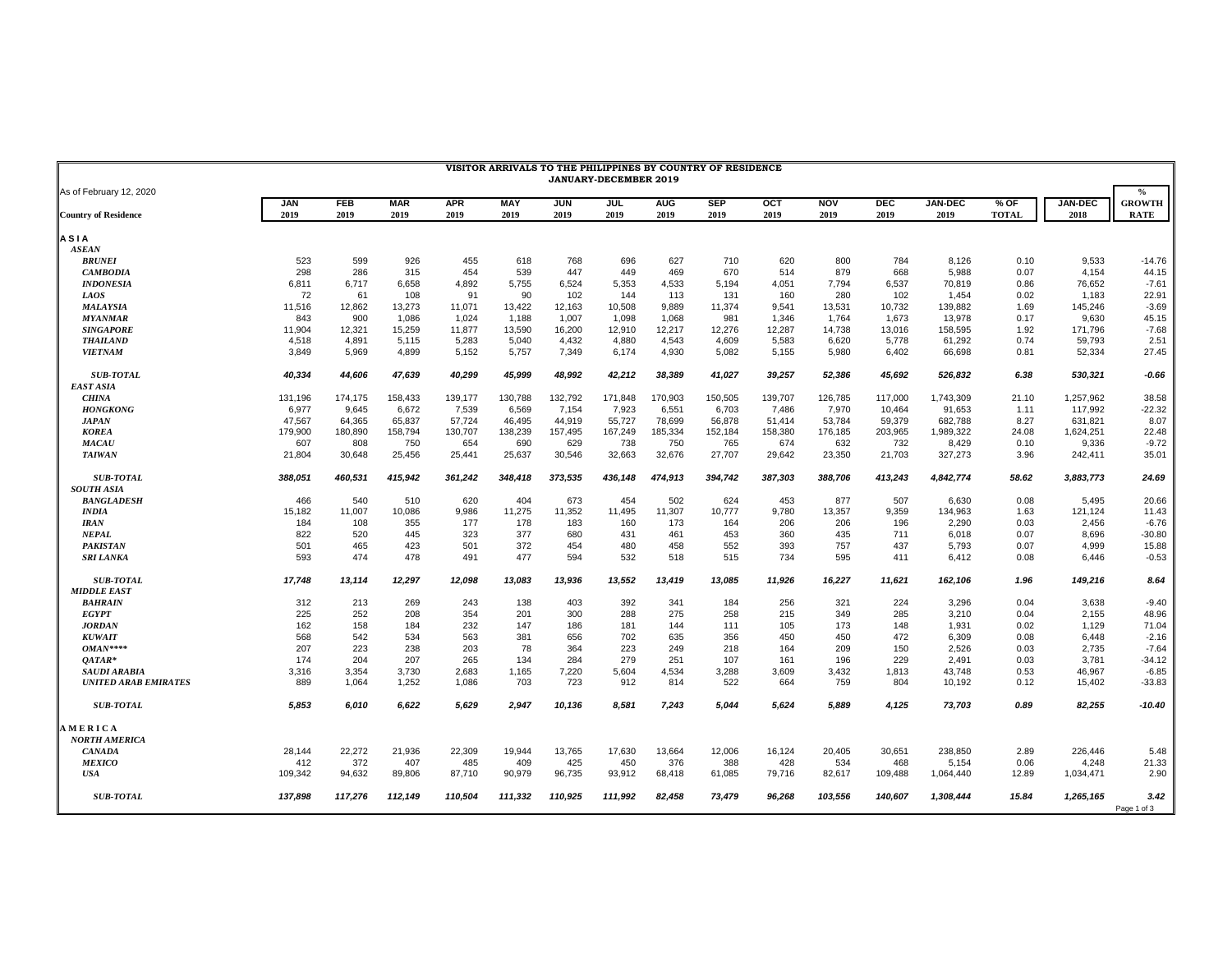| VISITOR ARRIVALS TO THE PHILIPPINES BY COUNTRY OF RESIDENCE<br>JANUARY-DECEMBER 2019 |                    |                    |                    |                    |             |                    |             |                    |                    |             |                    |                    |                        |                      |                        |                              |
|--------------------------------------------------------------------------------------|--------------------|--------------------|--------------------|--------------------|-------------|--------------------|-------------|--------------------|--------------------|-------------|--------------------|--------------------|------------------------|----------------------|------------------------|------------------------------|
| As of February 12, 2020                                                              |                    |                    |                    |                    |             |                    |             |                    |                    |             |                    |                    |                        |                      |                        | $\frac{0}{0}$                |
| <b>Country of Residence</b>                                                          | <b>JAN</b><br>2019 | <b>FEB</b><br>2019 | <b>MAR</b><br>2019 | <b>APR</b><br>2019 | MAY<br>2019 | <b>JUN</b><br>2019 | JUL<br>2019 | <b>AUG</b><br>2019 | <b>SEP</b><br>2019 | OCT<br>2019 | <b>NOV</b><br>2019 | <b>DEC</b><br>2019 | <b>JAN-DEC</b><br>2019 | % OF<br><b>TOTAL</b> | <b>JAN-DEC</b><br>2018 | <b>GROWTH</b><br><b>RATE</b> |
| <b>ASIA</b>                                                                          |                    |                    |                    |                    |             |                    |             |                    |                    |             |                    |                    |                        |                      |                        |                              |
| <b>ASEAN</b>                                                                         |                    |                    |                    |                    |             |                    |             |                    |                    |             |                    |                    |                        |                      |                        |                              |
| <b>BRUNEI</b>                                                                        | 523                | 599                | 926                | 455                | 618         | 768                | 696         | 627                | 710                | 620         | 800                | 784                | 8,126                  | 0.10                 | 9,533                  | $-14.76$                     |
| <b>CAMBODIA</b>                                                                      | 298                | 286                | 315                | 454                | 539         | 447                | 449         | 469                | 670                | 514         | 879                | 668                | 5,988                  | 0.07                 | 4,154                  | 44.15                        |
| <b>INDONESIA</b>                                                                     | 6,811              | 6,717              | 6,658              | 4,892              | 5,755       | 6,524              | 5,353       | 4,533              | 5,194              | 4,051       | 7,794              | 6,537              | 70,819                 | 0.86                 | 76,652                 | $-7.61$                      |
| <b>LAOS</b>                                                                          | 72                 | 61                 | 108                | 91                 | 90          | 102                | 144         | 113                | 131                | 160         | 280                | 102                | 1,454                  | 0.02                 | 1,183                  | 22.91                        |
| <b>MALAYSIA</b>                                                                      | 11,516             | 12,862             | 13,273             | 11,071             | 13,422      | 12,163             | 10,508      | 9,889              | 11,374             | 9,541       | 13,531             | 10,732             | 139,882                | 1.69                 | 145,246                | $-3.69$                      |
| <b>MYANMAR</b>                                                                       | 843                | 900                | 1,086              | 1,024              | 1,188       | 1,007              | 1,098       | 1,068              | 981                | 1,346       | 1,764              | 1,673              | 13,978                 | 0.17                 | 9,630                  | 45.15                        |
| <b>SINGAPORE</b>                                                                     | 11,904             | 12,321             | 15,259             | 11,877             | 13,590      | 16,200             | 12,910      | 12,217             | 12,276             | 12,287      | 14,738             | 13,016             | 158,595                | 1.92                 | 171,796                | $-7.68$                      |
| <b>THAILAND</b>                                                                      | 4,518              | 4,891              | 5,115              | 5,283              | 5.040       | 4,432              | 4,880       | 4.543              | 4,609              | 5,583       | 6,620              | 5,778              | 61,292                 | 0.74                 | 59.793                 | 2.51                         |
| <b>VIETNAM</b>                                                                       | 3,849              | 5,969              | 4,899              | 5,152              | 5,757       | 7,349              | 6,174       | 4,930              | 5,082              | 5,155       | 5,980              | 6,402              | 66,698                 | 0.81                 | 52,334                 | 27.45                        |
| <b>SUB-TOTAL</b>                                                                     | 40,334             | 44,606             | 47,639             | 40,299             | 45,999      | 48,992             | 42,212      | 38,389             | 41,027             | 39,257      | 52,386             | 45,692             | 526,832                | 6.38                 | 530,321                | -0.66                        |
| <b>EAST ASIA</b>                                                                     |                    |                    |                    |                    |             |                    |             |                    |                    |             |                    |                    |                        |                      |                        |                              |
| <b>CHINA</b>                                                                         | 131.196            | 174.175            | 158.433            | 139.177            | 130.788     | 132,792            | 171.848     | 170,903            | 150.505            | 139.707     | 126.785            | 117.000            | 1.743.309              | 21.10                | 1.257.962              | 38.58                        |
| <b>HONGKONG</b>                                                                      | 6,977              | 9,645              | 6,672              | 7,539              | 6,569       | 7,154              | 7,923       | 6,551              | 6,703              | 7,486       | 7,970              | 10,464             | 91,653                 | 1.11                 | 117,992                | $-22.32$                     |
| <b>JAPAN</b>                                                                         | 47,567             | 64,365             | 65,837             | 57,724             | 46,495      | 44,919             | 55,727      | 78,699             | 56,878             | 51,414      | 53,784             | 59,379             | 682,788                | 8.27                 | 631,821                | 8.07                         |
| <b>KOREA</b>                                                                         | 179,900            | 180,890            | 158,794            | 130,707            | 138,239     | 157,495            | 167,249     | 185,334            | 152,184            | 158,380     | 176,185            | 203,965            | 1,989,322              | 24.08                | 1,624,251              | 22.48                        |
| <b>MACAU</b>                                                                         | 607                | 808                | 750                | 654                | 690         | 629                | 738         | 750                | 765                | 674         | 632                | 732                | 8,429                  | 0.10                 | 9,336                  | $-9.72$                      |
| <b>TAIWAN</b>                                                                        | 21.804             | 30,648             | 25,456             | 25,441             | 25,637      | 30,546             | 32,663      | 32,676             | 27,707             | 29,642      | 23,350             | 21,703             | 327,273                | 3.96                 | 242,411                | 35.01                        |
| <b>SUB-TOTAL</b><br><b>SOUTH ASIA</b>                                                | 388,051            | 460,531            | 415,942            | 361,242            | 348,418     | 373,535            | 436,148     | 474,913            | 394,742            | 387,303     | 388,706            | 413,243            | 4,842,774              | 58.62                | 3,883,773              | 24.69                        |
| <b>BANGLADESH</b>                                                                    | 466                | 540                | 510                | 620                | 404         | 673                | 454         | 502                | 624                | 453         | 877                | 507                | 6,630                  | 0.08                 | 5,495                  | 20.66                        |
| <b>INDIA</b>                                                                         | 15,182             | 11,007             | 10,086             | 9,986              | 11,275      | 11,352             | 11,495      | 11,307             | 10,777             | 9,780       | 13,357             | 9,359              | 134,963                | 1.63                 | 121,124                | 11.43                        |
| <b>IRAN</b>                                                                          | 184                | 108                | 355                | 177                | 178         | 183                | 160         | 173                | 164                | 206         | 206                | 196                | 2,290                  | 0.03                 | 2,456                  | $-6.76$                      |
| <b>NEPAL</b>                                                                         | 822                | 520                | 445                | 323                | 377         | 680                | 431         | 461                | 453                | 360         | 435                | 711                | 6,018                  | 0.07                 | 8,696                  | $-30.80$                     |
| <b>PAKISTAN</b>                                                                      | 501                | 465                | 423                | 501                | 372         | 454                | 480         | 458                | 552                | 393         | 757                | 437                | 5,793                  | 0.07                 | 4.999                  | 15.88                        |
| <b>SRI LANKA</b>                                                                     | 593                | 474                | 478                | 491                | 477         | 594                | 532         | 518                | 515                | 734         | 595                | 411                | 6,412                  | 0.08                 | 6,446                  | $-0.53$                      |
| <b>SUB-TOTAL</b><br><b>MIDDLE EAST</b>                                               | 17,748             | 13,114             | 12,297             | 12.098             | 13.083      | 13,936             | 13,552      | 13,419             | 13,085             | 11,926      | 16,227             | 11,621             | 162,106                | 1.96                 | 149,216                | 8.64                         |
| <b>BAHRAIN</b>                                                                       | 312                | 213                | 269                | 243                | 138         | 403                | 392         | 341                | 184                | 256         | 321                | 224                | 3,296                  | 0.04                 | 3,638                  | $-9.40$                      |
| <b>EGYPT</b>                                                                         | 225                | 252                | 208                | 354                | 201         | 300                | 288         | 275                | 258                | 215         | 349                | 285                | 3,210                  | 0.04                 | 2,155                  | 48.96                        |
| <b>JORDAN</b>                                                                        | 162                | 158                | 184                | 232                | 147         | 186                | 181         | 144                | 111                | 105         | 173                | 148                | 1,931                  | 0.02                 | 1,129                  | 71.04                        |
| <b>KUWAIT</b>                                                                        | 568                | 542                | 534                | 563                | 381         | 656                | 702         | 635                | 356                | 450         | 450                | 472                | 6,309                  | 0.08                 | 6,448                  | $-2.16$                      |
| $OMAN***$                                                                            | 207                | 223                | 238                | 203                | 78          | 364                | 223         | 249                | 218                | 164         | 209                | 150                | 2,526                  | 0.03                 | 2,735                  | $-7.64$                      |
| OATAR*                                                                               | 174                | 204                | 207                | 265                | 134         | 284                | 279         | 251                | 107                | 161         | 196                | 229                | 2,491                  | 0.03                 | 3,781                  | $-34.12$                     |
| <b>SAUDI ARABIA</b>                                                                  | 3,316              | 3,354              | 3,730              | 2,683              | 1,165       | 7,220              | 5,604       | 4,534              | 3,288              | 3,609       | 3,432              | 1,813              | 43,748                 | 0.53                 | 46,967                 | $-6.85$                      |
| <b>UNITED ARAB EMIRATES</b>                                                          | 889                | 1,064              | 1,252              | 1,086              | 703         | 723                | 912         | 814                | 522                | 664         | 759                | 804                | 10,192                 | 0.12                 | 15,402                 | $-33.83$                     |
| <b>SUB-TOTAL</b>                                                                     | 5,853              | 6,010              | 6,622              | 5,629              | 2.947       | 10,136             | 8,581       | 7,243              | 5.044              | 5,624       | 5,889              | 4,125              | 73,703                 | 0.89                 | 82,255                 | $-10.40$                     |
| <b>AMERICA</b>                                                                       |                    |                    |                    |                    |             |                    |             |                    |                    |             |                    |                    |                        |                      |                        |                              |
| <b>NORTH AMERICA</b>                                                                 |                    |                    |                    |                    |             |                    |             |                    |                    |             |                    |                    |                        |                      |                        |                              |
| <b>CANADA</b>                                                                        | 28,144             | 22,272             | 21,936             | 22,309             | 19,944      | 13,765             | 17,630      | 13,664             | 12,006             | 16,124      | 20,405             | 30,651             | 238,850                | 2.89                 | 226,446                | 5.48                         |
| <b>MEXICO</b>                                                                        | 412                | 372                | 407                | 485                | 409         | 425                | 450         | 376                | 388                | 428         | 534                | 468                | 5,154                  | 0.06                 | 4,248                  | 21.33                        |
| <b>USA</b>                                                                           | 109,342            | 94,632             | 89,806             | 87,710             | 90,979      | 96,735             | 93,912      | 68,418             | 61,085             | 79,716      | 82,617             | 109,488            | 1,064,440              | 12.89                | 1,034,471              | 2.90                         |
| <b>SUB-TOTAL</b>                                                                     | 137,898            | 117,276            | 112,149            | 110,504            | 111.332     | 110.925            | 111.992     | 82.458             | 73.479             | 96.268      | 103.556            | 140,607            | 1.308.444              | 15.84                | 1,265,165              | 3.42<br>Page 1 of 3          |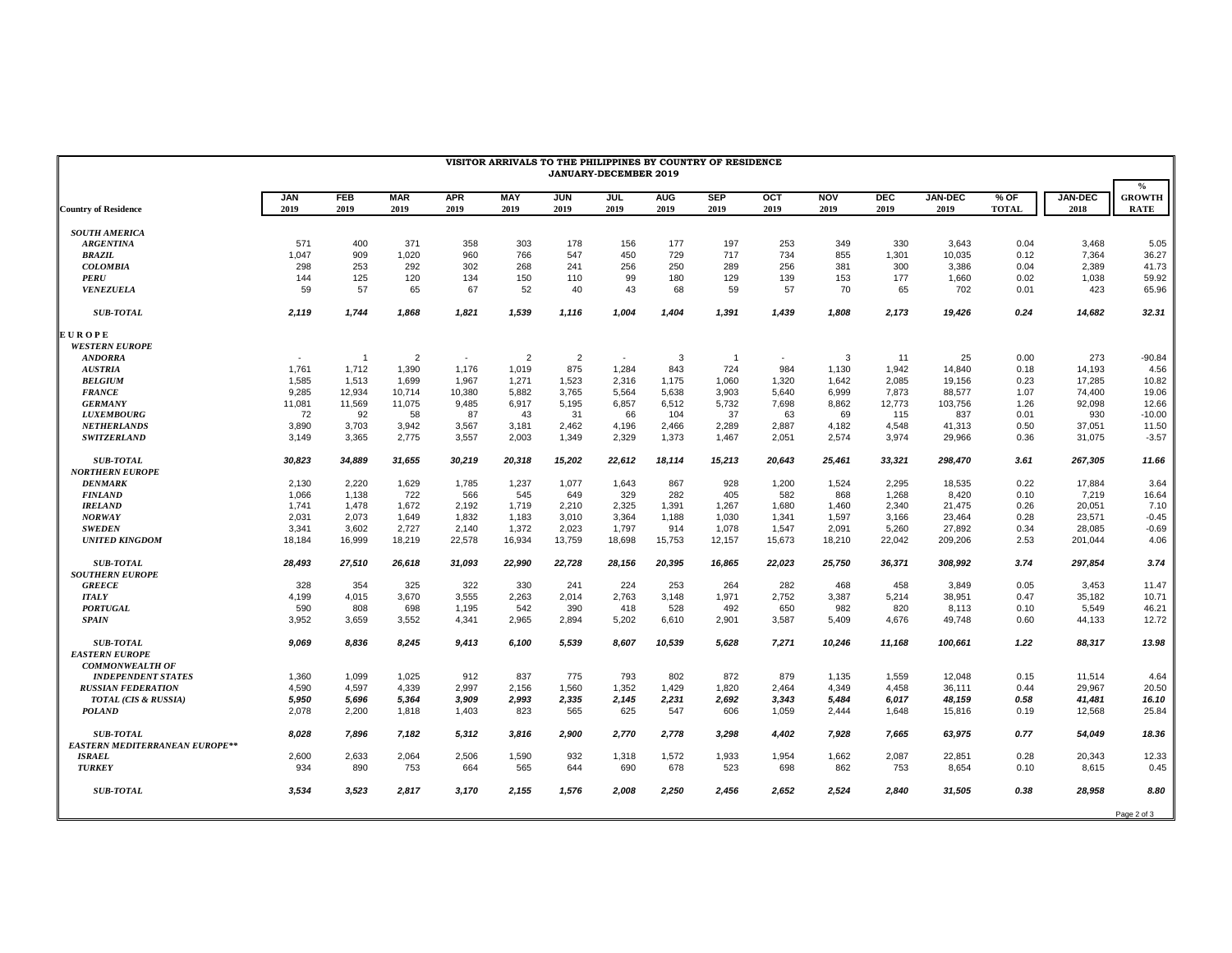| <b>JAN</b><br>2019<br><b>Country of Residence</b><br><b>SOUTH AMERICA</b><br>571<br><b>ARGENTINA</b><br>1,047<br><b>BRAZIL</b><br>298<br><b>COLOMBIA</b><br><b>PERU</b><br>144<br><b>VENEZUELA</b><br>59<br>2,119<br><b>SUB-TOTAL</b><br><b>EUROPE</b><br><b>WESTERN EUROPE</b><br><b>ANDORRA</b><br>$\sim$<br>1.761<br><b>AUSTRIA</b><br>1.585<br><b>BELGIUM</b><br>9,285<br><b>FRANCE</b><br>11,081<br><b>GERMANY</b><br><b>LUXEMBOURG</b><br>72<br><b>NETHERLANDS</b><br>3,890<br><b>SWITZERLAND</b><br>3,149<br>30,823<br><b>SUB-TOTAL</b><br><b>NORTHERN EUROPE</b><br>2,130<br><b>DENMARK</b><br>1,066<br><b>FINLAND</b><br><b>IRELAND</b><br>1.741<br>2,031<br><b>NORWAY</b><br><b>SWEDEN</b><br>3,341 | FEB<br>2019    | <b>MAR</b><br>2019 | <b>APR</b> |                    |                    |             |                    |                    |                    |                    | VISITOR ARRIVALS TO THE PHILIPPINES BY COUNTRY OF RESIDENCE<br>JANUARY-DECEMBER 2019 |                        |                        |                        |                                      |  |  |  |  |  |  |  |
|---------------------------------------------------------------------------------------------------------------------------------------------------------------------------------------------------------------------------------------------------------------------------------------------------------------------------------------------------------------------------------------------------------------------------------------------------------------------------------------------------------------------------------------------------------------------------------------------------------------------------------------------------------------------------------------------------------------|----------------|--------------------|------------|--------------------|--------------------|-------------|--------------------|--------------------|--------------------|--------------------|--------------------------------------------------------------------------------------|------------------------|------------------------|------------------------|--------------------------------------|--|--|--|--|--|--|--|
|                                                                                                                                                                                                                                                                                                                                                                                                                                                                                                                                                                                                                                                                                                               |                |                    | 2019       | <b>MAY</b><br>2019 | <b>JUN</b><br>2019 | JUL<br>2019 | <b>AUG</b><br>2019 | <b>SEP</b><br>2019 | <b>OCT</b><br>2019 | <b>NOV</b><br>2019 | <b>DEC</b><br>2019                                                                   | <b>JAN-DEC</b><br>2019 | $%$ OF<br><b>TOTAL</b> | <b>JAN-DEC</b><br>2018 | $\%$<br><b>GROWTH</b><br><b>RATE</b> |  |  |  |  |  |  |  |
|                                                                                                                                                                                                                                                                                                                                                                                                                                                                                                                                                                                                                                                                                                               |                |                    |            |                    |                    |             |                    |                    |                    |                    |                                                                                      |                        |                        |                        |                                      |  |  |  |  |  |  |  |
|                                                                                                                                                                                                                                                                                                                                                                                                                                                                                                                                                                                                                                                                                                               | 400            | 371                | 358        | 303                | 178                | 156         | 177                | 197                | 253                | 349                | 330                                                                                  | 3.643                  | 0.04                   | 3.468                  | 5.05                                 |  |  |  |  |  |  |  |
|                                                                                                                                                                                                                                                                                                                                                                                                                                                                                                                                                                                                                                                                                                               | 909            | 1,020              | 960        | 766                | 547                | 450         | 729                | 717                | 734                | 855                | 1,301                                                                                | 10,035                 | 0.12                   | 7,364                  | 36.27                                |  |  |  |  |  |  |  |
|                                                                                                                                                                                                                                                                                                                                                                                                                                                                                                                                                                                                                                                                                                               | 253            | 292                | 302        | 268                | 241                | 256         | 250                | 289                | 256                | 381                | 300                                                                                  | 3,386                  | 0.04                   | 2,389                  | 41.73                                |  |  |  |  |  |  |  |
|                                                                                                                                                                                                                                                                                                                                                                                                                                                                                                                                                                                                                                                                                                               | 125            | 120                | 134        | 150                | 110                | 99          | 180                | 129                | 139                | 153                | 177                                                                                  | 1,660                  | 0.02                   | 1,038                  | 59.92                                |  |  |  |  |  |  |  |
|                                                                                                                                                                                                                                                                                                                                                                                                                                                                                                                                                                                                                                                                                                               | 57             | 65                 | 67         | 52                 | 40                 | 43          | 68                 | 59                 | 57                 | 70                 | 65                                                                                   | 702                    | 0.01                   | 423                    | 65.96                                |  |  |  |  |  |  |  |
|                                                                                                                                                                                                                                                                                                                                                                                                                                                                                                                                                                                                                                                                                                               | 1,744          | 1,868              | 1,821      | 1,539              | 1,116              | 1,004       | 1,404              | 1,391              | 1,439              | 1,808              | 2,173                                                                                | 19,426                 | 0.24                   | 14,682                 | 32.31                                |  |  |  |  |  |  |  |
|                                                                                                                                                                                                                                                                                                                                                                                                                                                                                                                                                                                                                                                                                                               |                |                    |            |                    |                    |             |                    |                    |                    |                    |                                                                                      |                        |                        |                        |                                      |  |  |  |  |  |  |  |
|                                                                                                                                                                                                                                                                                                                                                                                                                                                                                                                                                                                                                                                                                                               |                |                    |            |                    |                    |             |                    |                    |                    |                    |                                                                                      |                        |                        |                        |                                      |  |  |  |  |  |  |  |
|                                                                                                                                                                                                                                                                                                                                                                                                                                                                                                                                                                                                                                                                                                               | $\overline{1}$ | $\overline{2}$     | $\sim$     | $\overline{2}$     | $\overline{2}$     | $\sim$      | 3                  | $\overline{1}$     |                    | 3                  | 11                                                                                   | 25                     | 0.00                   | 273                    | $-90.84$                             |  |  |  |  |  |  |  |
|                                                                                                                                                                                                                                                                                                                                                                                                                                                                                                                                                                                                                                                                                                               | 1.712          | 1,390              | 1,176      | 1,019              | 875                | 1,284       | 843                | 724                | 984                | 1,130              | 1,942                                                                                | 14,840                 | 0.18                   | 14,193                 | 4.56                                 |  |  |  |  |  |  |  |
|                                                                                                                                                                                                                                                                                                                                                                                                                                                                                                                                                                                                                                                                                                               | 1.513          | 1.699              | 1,967      | 1,271              | 1.523              | 2.316       | 1.175              | 1.060              | 1.320              | 1.642              | 2.085                                                                                | 19,156                 | 0.23                   | 17.285                 | 10.82                                |  |  |  |  |  |  |  |
|                                                                                                                                                                                                                                                                                                                                                                                                                                                                                                                                                                                                                                                                                                               | 12,934         | 10,714             | 10,380     | 5,882              | 3,765              | 5,564       | 5,638              | 3,903              | 5,640              | 6,999              | 7,873                                                                                | 88,577                 | 1.07                   | 74,400                 | 19.06                                |  |  |  |  |  |  |  |
|                                                                                                                                                                                                                                                                                                                                                                                                                                                                                                                                                                                                                                                                                                               | 11,569         | 11,075             | 9,485      | 6,917              | 5,195              | 6,857       | 6,512              | 5,732              | 7,698              | 8,862              | 12,773                                                                               | 103,756                | 1.26                   | 92,098                 | 12.66                                |  |  |  |  |  |  |  |
|                                                                                                                                                                                                                                                                                                                                                                                                                                                                                                                                                                                                                                                                                                               | 92             | 58                 | 87         | 43                 | 31                 | 66          | 104                | 37                 | 63                 | 69                 | 115                                                                                  | 837                    | 0.01                   | 930                    | $-10.00$                             |  |  |  |  |  |  |  |
|                                                                                                                                                                                                                                                                                                                                                                                                                                                                                                                                                                                                                                                                                                               | 3,703          | 3,942              | 3,567      | 3,181              | 2,462              | 4,196       | 2,466              | 2,289              | 2,887              | 4,182              | 4,548                                                                                | 41,313                 | 0.50                   | 37,051                 | 11.50                                |  |  |  |  |  |  |  |
|                                                                                                                                                                                                                                                                                                                                                                                                                                                                                                                                                                                                                                                                                                               | 3,365          | 2,775              | 3,557      | 2,003              | 1,349              | 2,329       | 1,373              | 1,467              | 2,051              | 2,574              | 3,974                                                                                | 29,966                 | 0.36                   | 31,075                 | $-3.57$                              |  |  |  |  |  |  |  |
|                                                                                                                                                                                                                                                                                                                                                                                                                                                                                                                                                                                                                                                                                                               | 34,889         | 31,655             | 30,219     | 20,318             | 15,202             | 22,612      | 18,114             | 15,213             | 20,643             | 25,461             | 33,321                                                                               | 298,470                | 3.61                   | 267,305                | 11.66                                |  |  |  |  |  |  |  |
|                                                                                                                                                                                                                                                                                                                                                                                                                                                                                                                                                                                                                                                                                                               |                |                    |            |                    |                    |             |                    |                    |                    |                    |                                                                                      |                        |                        |                        |                                      |  |  |  |  |  |  |  |
|                                                                                                                                                                                                                                                                                                                                                                                                                                                                                                                                                                                                                                                                                                               | 2,220          | 1,629              | 1,785      | 1,237              | 1,077              | 1,643       | 867                | 928                | 1,200              | 1,524              | 2,295                                                                                | 18,535                 | 0.22                   | 17,884                 | 3.64                                 |  |  |  |  |  |  |  |
|                                                                                                                                                                                                                                                                                                                                                                                                                                                                                                                                                                                                                                                                                                               | 1,138          | 722                | 566        | 545                | 649                | 329         | 282                | 405                | 582                | 868                | 1,268                                                                                | 8,420                  | 0.10                   | 7,219                  | 16.64                                |  |  |  |  |  |  |  |
|                                                                                                                                                                                                                                                                                                                                                                                                                                                                                                                                                                                                                                                                                                               | 1.478          | 1,672              | 2,192      | 1.719              | 2,210              | 2.325       | 1.391              | 1.267              | 1.680              | 1.460              | 2.340                                                                                | 21.475                 | 0.26                   | 20.051                 | 7.10                                 |  |  |  |  |  |  |  |
|                                                                                                                                                                                                                                                                                                                                                                                                                                                                                                                                                                                                                                                                                                               | 2,073          | 1.649              | 1,832      | 1.183              | 3,010              | 3.364       | 1.188              | 1.030              | 1.341              | 1.597              | 3.166                                                                                | 23,464                 | 0.28                   | 23,571                 | $-0.45$                              |  |  |  |  |  |  |  |
|                                                                                                                                                                                                                                                                                                                                                                                                                                                                                                                                                                                                                                                                                                               | 3,602          | 2,727              | 2,140      | 1,372              | 2,023              | 1,797       | 914                | 1,078              | 1,547              | 2,091              | 5,260                                                                                | 27,892                 | 0.34                   | 28,085                 | $-0.69$                              |  |  |  |  |  |  |  |
| <b>UNITED KINGDOM</b><br>18,184                                                                                                                                                                                                                                                                                                                                                                                                                                                                                                                                                                                                                                                                               | 16,999         |                    | 22,578     | 16,934             | 13,759             | 18,698      | 15,753             | 12,157             | 15,673             |                    | 22,042                                                                               |                        | 2.53                   | 201,044                | 4.06                                 |  |  |  |  |  |  |  |
|                                                                                                                                                                                                                                                                                                                                                                                                                                                                                                                                                                                                                                                                                                               |                | 18,219             |            |                    |                    |             |                    |                    |                    | 18,210             |                                                                                      | 209,206                |                        |                        |                                      |  |  |  |  |  |  |  |
| <b>SUB-TOTAL</b><br>28,493                                                                                                                                                                                                                                                                                                                                                                                                                                                                                                                                                                                                                                                                                    | 27,510         | 26,618             | 31,093     | 22,990             | 22,728             | 28,156      | 20,395             | 16,865             | 22,023             | 25,750             | 36,371                                                                               | 308,992                | 3.74                   | 297,854                | 3.74                                 |  |  |  |  |  |  |  |
| <b>SOUTHERN EUROPE</b>                                                                                                                                                                                                                                                                                                                                                                                                                                                                                                                                                                                                                                                                                        |                |                    |            |                    |                    |             |                    |                    |                    |                    |                                                                                      |                        |                        |                        |                                      |  |  |  |  |  |  |  |
| 328<br><b>GREECE</b>                                                                                                                                                                                                                                                                                                                                                                                                                                                                                                                                                                                                                                                                                          | 354            | 325                | 322        | 330                | 241                | 224         | 253                | 264                | 282                | 468                | 458                                                                                  | 3,849                  | 0.05                   | 3,453                  | 11.47                                |  |  |  |  |  |  |  |
| <b>ITALY</b><br>4,199                                                                                                                                                                                                                                                                                                                                                                                                                                                                                                                                                                                                                                                                                         | 4,015          | 3,670              | 3,555      | 2,263              | 2,014              | 2,763       | 3,148              | 1,971              | 2,752              | 3,387              | 5,214                                                                                | 38,951                 | 0.47                   | 35,182                 | 10.71                                |  |  |  |  |  |  |  |
| 590<br><b>PORTUGAL</b>                                                                                                                                                                                                                                                                                                                                                                                                                                                                                                                                                                                                                                                                                        | 808            | 698                | 1,195      | 542                | 390                | 418         | 528                | 492                | 650                | 982                | 820                                                                                  | 8,113                  | 0.10                   | 5,549                  | 46.21                                |  |  |  |  |  |  |  |
| 3,952<br><b>SPAIN</b>                                                                                                                                                                                                                                                                                                                                                                                                                                                                                                                                                                                                                                                                                         | 3,659          | 3,552              | 4,341      | 2,965              | 2,894              | 5,202       | 6,610              | 2,901              | 3,587              | 5,409              | 4,676                                                                                | 49,748                 | 0.60                   | 44,133                 | 12.72                                |  |  |  |  |  |  |  |
| <b>SUB-TOTAL</b><br>9.069                                                                                                                                                                                                                                                                                                                                                                                                                                                                                                                                                                                                                                                                                     | 8.836          | 8.245              | 9.413      | 6.100              | 5.539              | 8.607       | 10.539             | 5.628              | 7,271              | 10.246             | 11.168                                                                               | 100,661                | 1.22                   | 88.317                 | 13.98                                |  |  |  |  |  |  |  |
| <b>EASTERN EUROPE</b>                                                                                                                                                                                                                                                                                                                                                                                                                                                                                                                                                                                                                                                                                         |                |                    |            |                    |                    |             |                    |                    |                    |                    |                                                                                      |                        |                        |                        |                                      |  |  |  |  |  |  |  |
| <b>COMMONWEALTH OF</b>                                                                                                                                                                                                                                                                                                                                                                                                                                                                                                                                                                                                                                                                                        |                |                    |            |                    |                    |             |                    |                    |                    |                    |                                                                                      |                        |                        |                        |                                      |  |  |  |  |  |  |  |
| 1,360<br><b>INDEPENDENT STATES</b>                                                                                                                                                                                                                                                                                                                                                                                                                                                                                                                                                                                                                                                                            | 1,099          | 1,025              | 912        | 837                | 775                | 793         | 802                | 872                | 879                | 1,135              | 1,559                                                                                | 12,048                 | 0.15                   | 11,514                 | 4.64                                 |  |  |  |  |  |  |  |
| <b>RUSSIAN FEDERATION</b><br>4,590                                                                                                                                                                                                                                                                                                                                                                                                                                                                                                                                                                                                                                                                            | 4,597          | 4,339              | 2,997      | 2,156              | 1,560              | 1,352       | 1,429              | 1,820              | 2,464              | 4,349              | 4,458                                                                                | 36,111                 | 0.44                   | 29,967                 | 20.50                                |  |  |  |  |  |  |  |
| TOTAL (CIS & RUSSIA)<br>5,950                                                                                                                                                                                                                                                                                                                                                                                                                                                                                                                                                                                                                                                                                 | 5,696          | 5,364              | 3,909      | 2,993              | 2,335              | 2,145       | 2,231              | 2,692              | 3,343              | 5,484              | 6,017                                                                                | 48,159                 | 0.58                   | 41,481                 | 16.10                                |  |  |  |  |  |  |  |
| 2,078<br><b>POLAND</b>                                                                                                                                                                                                                                                                                                                                                                                                                                                                                                                                                                                                                                                                                        | 2,200          | 1,818              | 1,403      | 823                | 565                | 625         | 547                | 606                | 1,059              | 2,444              | 1,648                                                                                | 15,816                 | 0.19                   | 12,568                 | 25.84                                |  |  |  |  |  |  |  |
| <b>SUB-TOTAL</b><br>8,028                                                                                                                                                                                                                                                                                                                                                                                                                                                                                                                                                                                                                                                                                     | 7,896          | 7,182              | 5,312      | 3,816              | 2,900              | 2,770       | 2,778              | 3,298              | 4,402              | 7,928              | 7,665                                                                                | 63,975                 | 0.77                   | 54,049                 | 18.36                                |  |  |  |  |  |  |  |
| <b>EASTERN MEDITERRANEAN EUROPE**</b>                                                                                                                                                                                                                                                                                                                                                                                                                                                                                                                                                                                                                                                                         |                |                    |            |                    |                    |             |                    |                    |                    |                    |                                                                                      |                        |                        |                        |                                      |  |  |  |  |  |  |  |
| 2,600<br><b>ISRAEL</b>                                                                                                                                                                                                                                                                                                                                                                                                                                                                                                                                                                                                                                                                                        | 2,633          | 2,064              | 2,506      | 1,590              | 932                | 1,318       | 1,572              | 1,933              | 1,954              | 1,662              | 2,087                                                                                | 22,851                 | 0.28                   | 20,343                 | 12.33                                |  |  |  |  |  |  |  |
| <b>TURKEY</b><br>934                                                                                                                                                                                                                                                                                                                                                                                                                                                                                                                                                                                                                                                                                          | 890            | 753                | 664        | 565                | 644                | 690         | 678                | 523                | 698                | 862                | 753                                                                                  | 8,654                  | 0.10                   | 8,615                  | 0.45                                 |  |  |  |  |  |  |  |
| 3,534<br><b>SUB-TOTAL</b>                                                                                                                                                                                                                                                                                                                                                                                                                                                                                                                                                                                                                                                                                     | 3,523          | 2,817              | 3,170      | 2,155              | 1,576              | 2,008       | 2,250              | 2,456              | 2,652              | 2,524              | 2,840                                                                                | 31,505                 | 0.38                   | 28,958                 | 8.80                                 |  |  |  |  |  |  |  |
|                                                                                                                                                                                                                                                                                                                                                                                                                                                                                                                                                                                                                                                                                                               |                |                    |            |                    |                    |             |                    |                    |                    |                    |                                                                                      |                        |                        |                        |                                      |  |  |  |  |  |  |  |